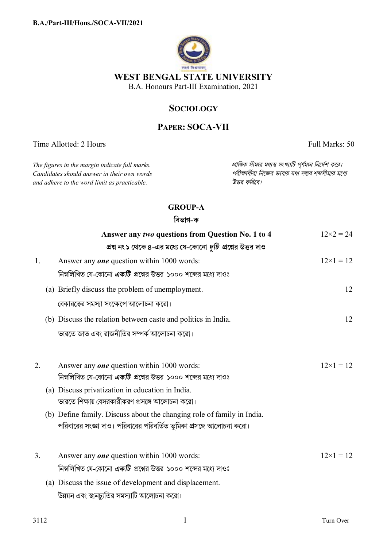

# **SOCIOLOGY**

# **PAPER: SOCA-VII**

Time Allotted: 2 Hours Full Marks: 50

*Candidates should answer in their own words পরীkাথীরা িনেজর ভাষায় যথা সmব শbসীমার মেধ° and adhere to the word limit as practicable. উtর কিরেব।*

*The figures in the margin indicate full marks. pািnক সীমার মধ°s সংখ°ািট পূণমান িনেদশ কের।*

## **GROUP-A**

## **িবভাগ-ক**

|                | Answer any two questions from Question No. 1 to 4                      | $12\times2 = 24$   |
|----------------|------------------------------------------------------------------------|--------------------|
|                | প্রশ্ন নং ১ থেকে ৪-এর মধ্যে যে-কোনো <i>দুটি</i> প্রশ্নের উত্তর দাও     |                    |
| 1.             | Answer any <b>one</b> question within 1000 words:                      | $12\times1=12$     |
|                | নিম্নলিখিত যে-কোনো <i>একটি প্র</i> শ্নের উত্তর ১০০০ শব্দের মধ্যে দাওঃ  |                    |
|                | (a) Briefly discuss the problem of unemployment.                       | 12                 |
|                | বেকারত্বের সমস্যা সংক্ষেপে আলোচনা করো।                                 |                    |
|                | (b) Discuss the relation between caste and politics in India.          | 12                 |
|                | ভারতে জাত এবং রাজনীতির সম্পর্ক আলোচনা করো।                             |                    |
|                |                                                                        |                    |
| 2.             | Answer any <b>one</b> question within 1000 words:                      | $12 \times 1 = 12$ |
|                | নিম্নলিখিত যে-কোনো <i>একটি</i> প্রশ্নের উত্তর ১০০০ শব্দের মধ্যে দাওঃ   |                    |
|                | (a) Discuss privatization in education in India.                       |                    |
|                | ভারতে শিক্ষায় বেসরকারীকরণ প্রসঙ্গে আলোচনা করো।                        |                    |
|                | (b) Define family. Discuss about the changing role of family in India. |                    |
|                | পরিবারের সংজ্ঞা দাও। পরিবারের পরিবর্তিত ভূমিকা প্রসঙ্গে আলোচনা করো।    |                    |
|                |                                                                        |                    |
| 3 <sub>1</sub> | Answer any <b>one</b> question within 1000 words:                      | $12\times1=12$     |
|                | নিম্নলিখিত যে-কোনো <i>একটি</i> প্রশ্নের উত্তর ১০০০ শব্দের মধ্যে দাওঃ   |                    |
|                | (a) Discuss the issue of development and displacement.                 |                    |
|                | উন্নয়ন এবং স্থানচ্যুতির সমস্যাটি আলোচনা করো।                          |                    |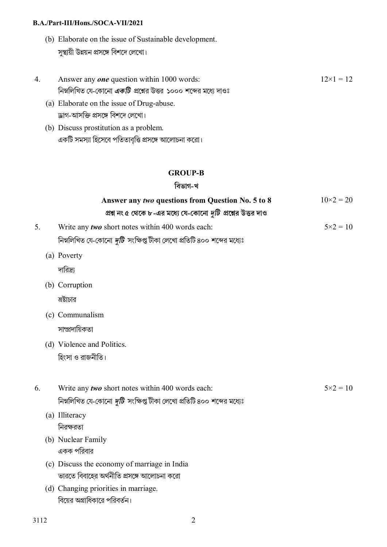### **B.A./Part-III/Hons./SOCA-VII/2021**

- (b) Elaborate on the issue of Sustainable development. সুস্থায়ী উন্নয়ন প্ৰসঙ্গে বিশদে লেখাে।
- 4. Answer any *one* question within 1000 words: নিম্নলিখিত যে-কোনো *একটি প্র*শ্নের উত্তর ১০০০ শব্দের মধ্যে দাওঃ  $12\times1 = 12$ 
	- (a) Elaborate on the issue of Drug-abuse. ড্ৰাগ-আসক্তি প্ৰসঙ্গে বিশদে লেখাে।
	- (b) Discuss prostitution as a problem. একটি সমস্যা হিসেবে পতিতাবৃত্তি প্রসঙ্গে আলোচনা করো।

## **GROUP-B**

### **িবভাগ-খ**

|    | Answer any two questions from Question No. 5 to 8                             | $10\times2 = 20$  |
|----|-------------------------------------------------------------------------------|-------------------|
|    | প্রশ্ন নং ৫ থেকে ৮-এর মধ্যে যে-কোনো দুটি প্রশ্নের উত্তর দাও                   |                   |
| 5. | Write any two short notes within 400 words each:                              | $5 \times 2 = 10$ |
|    | নিম্নলিখিত যে-কোনো <i>দুটি সং</i> ক্ষিপ্ত টীকা লেখো প্রতিটি ৪০০ শব্দের মধ্যেঃ |                   |
|    | (a) Poverty                                                                   |                   |
|    | দারিদ্র্য                                                                     |                   |
|    | (b) Corruption                                                                |                   |
|    | ভষ্টাচার                                                                      |                   |
|    | (c) Communalism                                                               |                   |
|    | সাম্প্ৰদায়িকতা                                                               |                   |
|    | (d) Violence and Politics.                                                    |                   |
|    | হিংসা ও রাজনীতি।                                                              |                   |
| 6. | Write any two short notes within 400 words each:                              | $5 \times 2 = 10$ |
|    | নিম্নলিখিত যে-কোনো <i>দুটি</i> সংক্ষিপ্ত টীকা লেখো প্রতিটি ৪০০ শব্দের মধ্যেঃ  |                   |
|    | (a) Illiteracy                                                                |                   |
|    | নিরক্ষরতা                                                                     |                   |
|    | (b) Nuclear Family                                                            |                   |
|    | একক পরিবার                                                                    |                   |
|    | (c) Discuss the economy of marriage in India                                  |                   |
|    | ভারতে বিবাহের অর্থনীতি প্রসঙ্গে আলোচনা করো                                    |                   |
|    | (d) Changing priorities in marriage.                                          |                   |
|    | বিয়ের অগ্রাধিকারে পরিবর্তন।                                                  |                   |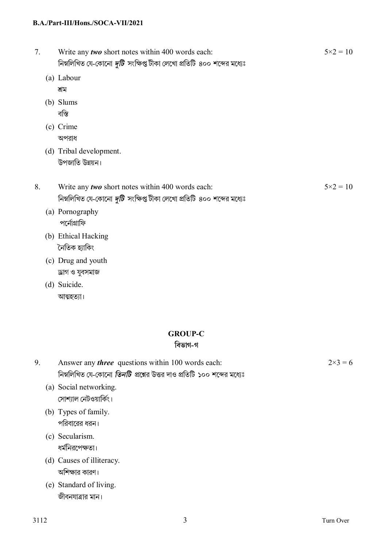### **B.A./Part-III/Hons./SOCA-VII/2021**

| 7. |     | Write any two short notes within 400 words each:<br>নিম্নলিখিত যে-কোনো দুটি সংক্ষিপ্ত টীকা লেখো প্রতিটি ৪০০ শব্দের মধ্যেঃ | $5 \times 2 = 10$ |
|----|-----|---------------------------------------------------------------------------------------------------------------------------|-------------------|
|    |     | (a) Labour                                                                                                                |                   |
|    |     | শ্ৰম                                                                                                                      |                   |
|    | (b) | Slums                                                                                                                     |                   |
|    |     | বস্তি                                                                                                                     |                   |
|    |     | (c) Crime                                                                                                                 |                   |
|    |     | অপরাধ                                                                                                                     |                   |
|    |     | (d) Tribal development.                                                                                                   |                   |
|    |     | উপজাতি উন্নয়ন।                                                                                                           |                   |
| 8. |     | Write any two short notes within 400 words each:                                                                          | $5 \times 2 = 10$ |
|    |     | নিম্নলিখিত যে-কোনো <i>দুটি</i> সংক্ষিপ্ত টীকা লেখো প্ৰতিটি ৪০০ শব্দের মধ্যেঃ                                              |                   |
|    |     | (a) Pornography                                                                                                           |                   |
|    |     | পৰ্নোগ্ৰাফি                                                                                                               |                   |
|    |     | (b) Ethical Hacking                                                                                                       |                   |
|    |     | নৈতিক হ্যাকিং                                                                                                             |                   |
|    |     | $(1)$ D <sub>ream</sub> $1$ $1$ $1$                                                                                       |                   |

- (c) Drug and youth »াগ ও যুবসমাজ
- (d) Suicide. আত্মহত্যা।

# **GROUP-C**

## **িবভাগ-গ**

| Answer any <i>three</i> questions within 100 words each:                      | $2 \times 3 = 6$ |
|-------------------------------------------------------------------------------|------------------|
| নিম্নলিখিত যে-কোনো <i>তিনটি প্র</i> শ্নের উত্তর দাও প্রতিটি ১০০ শব্দের মধ্যেঃ |                  |

- (a) Social networking. সোশ্যাল নেটওয়ার্কিং।
- (b) Types of family. পরিবারের ধরন।
- (c) Secularism. ধর্মনিরপেক্ষতা।
- (d) Causes of illiteracy. অশিক্ষার কারণ।
- (e) Standard of living. জীবনযাত্রার মান।